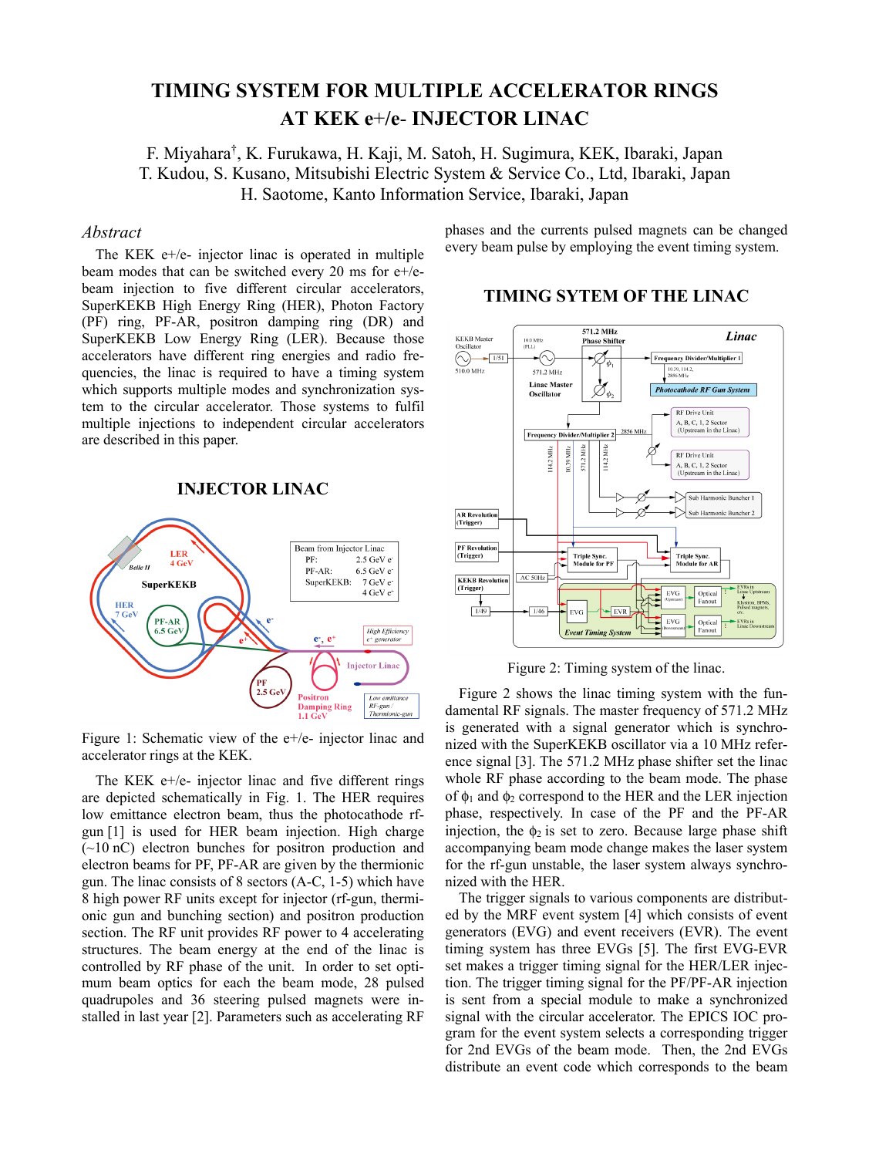# **TIMING SYSTEM FOR MULTIPLE ACCELERATOR RINGS AT KEK e**+**/e**- **INJECTOR LINAC**

F. Miyahara† , K. Furukawa, H. Kaji, M. Satoh, H. Sugimura, KEK, Ibaraki, Japan T. Kudou, S. Kusano, Mitsubishi Electric System & Service Co., Ltd, Ibaraki, Japan H. Saotome, Kanto Information Service, Ibaraki, Japan

#### *Abstract*

The KEK e+/e- injector linac is operated in multiple beam modes that can be switched every 20 ms for e+/ebeam injection to five different circular accelerators, SuperKEKB High Energy Ring (HER), Photon Factory (PF) ring, PF-AR, positron damping ring (DR) and SuperKEKB Low Energy Ring (LER). Because those accelerators have different ring energies and radio frequencies, the linac is required to have a timing system which supports multiple modes and synchronization system to the circular accelerator. Those systems to fulfil multiple injections to independent circular accelerators are described in this paper.

#### **INJECTOR LINAC**



Figure 1: Schematic view of the e+/e- injector linac and accelerator rings at the KEK.

The KEK e+/e- injector linac and five different rings are depicted schematically in Fig. 1. The HER requires low emittance electron beam, thus the photocathode rfgun [1] is used for HER beam injection. High charge  $(\sim 10 \text{ nC})$  electron bunches for positron production and electron beams for PF, PF-AR are given by the thermionic gun. The linac consists of 8 sectors (A-C, 1-5) which have 8 high power RF units except for injector (rf-gun, thermionic gun and bunching section) and positron production section. The RF unit provides RF power to 4 accelerating structures. The beam energy at the end of the linac is controlled by RF phase of the unit. In order to set optimum beam optics for each the beam mode, 28 pulsed quadrupoles and 36 steering pulsed magnets were installed in last year [2]. Parameters such as accelerating RF 2018 CC-BY-3.0 and by the respective authors

phases and the currents pulsed magnets can be changed every beam pulse by employing the event timing system.

#### 571.2 MHz Linac KEKB Master<br>Oscillator 10.0 MHz<br>(PLL) **Phase Shifte**  $\overline{\varphi_{\scriptscriptstyle{\overline{\phi_{\scriptscriptstyle1}}}}}$ -∕ि  $\fbox{Frequency Divider/Multiplier 1}$  $\bigcirc$   $\longrightarrow$   $\frac{1/51}{2}$  $510.0$  MHz 571.2 MHz Linge Maste  $\mathcal{O}_{\phi_2}$ **Photocathode RF Gun System** Oscillator **RF** Drive Unit A, B, C, 1, 2 Sector<br>(Upstream in the Linac) 2856 MHz Multiplier 2 **Frequency Divid** 571.2 MHz 114.2 MHz 10.39 MHz 114.2 MHz RF Drive Unit A, B, C, 1, 2 Sector<br>(Upstream in the Linac) Sub Harmonic Buncher 1 Sub Harmonic Buncher **AR** Revolutio (Trigger) **PF Revolution**<br>(Trigger) Triple Sync.<br>Module for PF Triple Sync.<br>Module for AF  $\rm AC$  50Hz **KEKB Revolution** (Trigger) Optical<br>Fanout  $\mathop{\text{EVG}}$  $\frac{1}{49}$  $-1/46$ EVG EVG Optical **Event Timing Sy**

#### **TIMING SYTEM OF THE LINAC**

Figure 2: Timing system of the linac.

Figure 2 shows the linac timing system with the fundamental RF signals. The master frequency of 571.2 MHz is generated with a signal generator which is synchronized with the SuperKEKB oscillator via a 10 MHz reference signal [3]. The 571.2 MHz phase shifter set the linac whole RF phase according to the beam mode. The phase of  $\phi_1$  and  $\phi_2$  correspond to the HER and the LER injection phase, respectively. In case of the PF and the PF-AR injection, the  $\phi_2$  is set to zero. Because large phase shift accompanying beam mode change makes the laser system for the rf-gun unstable, the laser system always synchronized with the HER.

The trigger signals to various components are distributed by the MRF event system [4] which consists of event generators (EVG) and event receivers (EVR). The event timing system has three EVGs [5]. The first EVG-EVR set makes a trigger timing signal for the HER/LER injection. The trigger timing signal for the PF/PF-AR injection is sent from a special module to make a synchronized signal with the circular accelerator. The EPICS IOC program for the event system selects a corresponding trigger for 2nd EVGs of the beam mode. Then, the 2nd EVGs distribute an event code which corresponds to the beam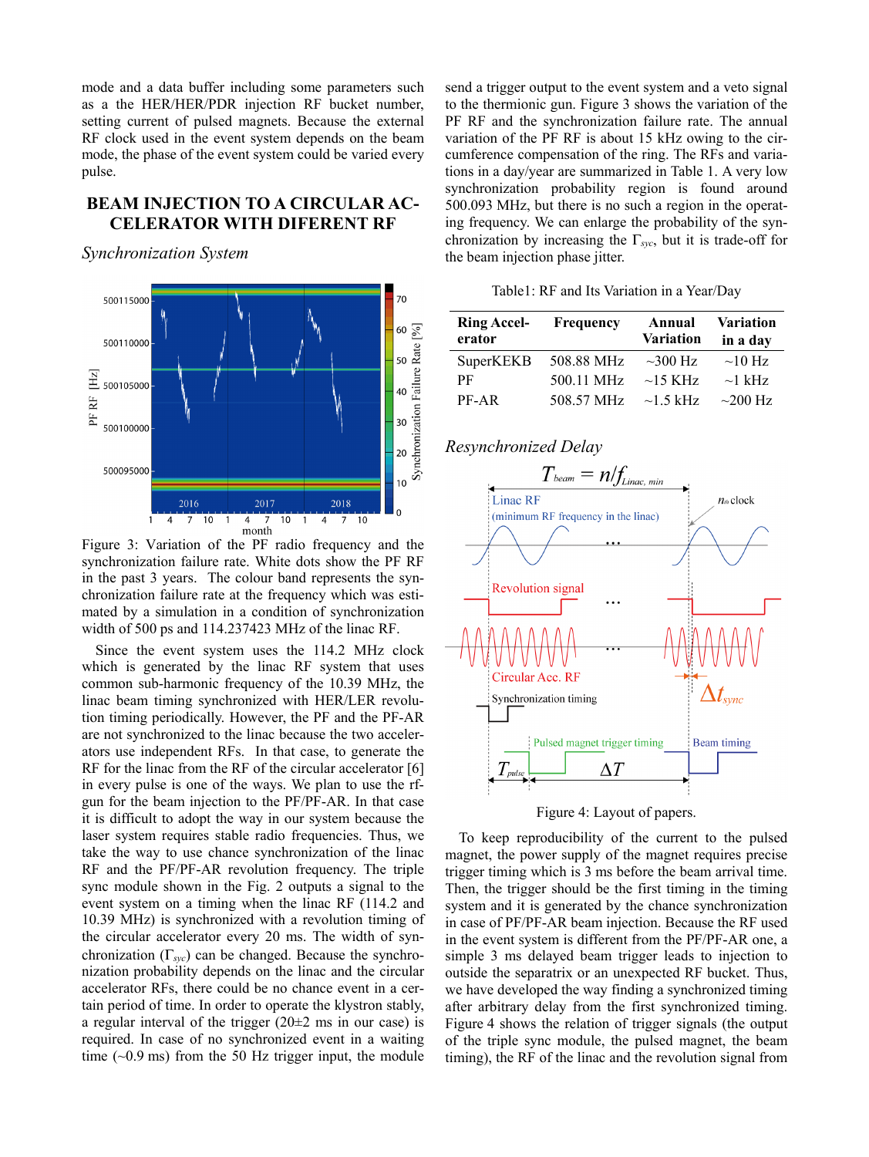mode and a data buffer including some parameters such as a the HER/HER/PDR injection RF bucket number, setting current of pulsed magnets. Because the external RF clock used in the event system depends on the beam mode, the phase of the event system could be varied every pulse.

# **BEAM INJECTION TO A CIRCULAR AC-CELERATOR WITH DIFERENT RF**

*Synchronization System* 



synchronization failure rate. White dots show the PF RF in the past 3 years. The colour band represents the synchronization failure rate at the frequency which was estimated by a simulation in a condition of synchronization width of 500 ps and 114.237423 MHz of the linac RF.

Since the event system uses the 114.2 MHz clock which is generated by the linac RF system that uses common sub-harmonic frequency of the 10.39 MHz, the linac beam timing synchronized with HER/LER revolution timing periodically. However, the PF and the PF-AR are not synchronized to the linac because the two accelerators use independent RFs. In that case, to generate the RF for the linac from the RF of the circular accelerator [6] in every pulse is one of the ways. We plan to use the rfgun for the beam injection to the PF/PF-AR. In that case it is difficult to adopt the way in our system because the laser system requires stable radio frequencies. Thus, we take the way to use chance synchronization of the linac RF and the PF/PF-AR revolution frequency. The triple sync module shown in the Fig. 2 outputs a signal to the event system on a timing when the linac RF (114.2 and 10.39 MHz) is synchronized with a revolution timing of the circular accelerator every 20 ms. The width of synchronization (Γ*syc*) can be changed. Because the synchronization probability depends on the linac and the circular accelerator RFs, there could be no chance event in a certain period of time. In order to operate the klystron stably, a regular interval of the trigger  $(20±2 \text{ ms in our case})$  is required. In case of no synchronized event in a waiting time  $(-0.9 \text{ ms})$  from the 50 Hz trigger input, the module send a trigger output to the event system and a veto signal to the thermionic gun. Figure 3 shows the variation of the PF RF and the synchronization failure rate. The annual variation of the PF RF is about 15 kHz owing to the circumference compensation of the ring. The RFs and variations in a day/year are summarized in Table 1. A very low synchronization probability region is found around 500.093 MHz, but there is no such a region in the operating frequency. We can enlarge the probability of the synchronization by increasing the  $\Gamma_{\text{src}}$ , but it is trade-off for the beam injection phase jitter.

Table1: RF and Its Variation in a Year/Day

| <b>Ring Accel-</b><br>erator | <b>Frequency</b> | Annual<br><b>Variation</b> | <b>Variation</b><br>in a day |
|------------------------------|------------------|----------------------------|------------------------------|
| SuperKEKB                    | 508.88 MHz       | $\sim$ 300 Hz              | $\sim$ 10 Hz                 |
| РF                           | 500.11 MHz       | $\sim$ 15 KHz              | $\sim$ 1 kHz                 |
| PF-AR                        | 508.57 MHz       | $\sim$ 1.5 kHz             | $\sim$ 200 Hz                |

# *Resynchronized Delay*



Figure 4: Layout of papers.

To keep reproducibility of the current to the pulsed magnet, the power supply of the magnet requires precise trigger timing which is 3 ms before the beam arrival time. Then, the trigger should be the first timing in the timing system and it is generated by the chance synchronization in case of PF/PF-AR beam injection. Because the RF used in the event system is different from the PF/PF-AR one, a simple 3 ms delayed beam trigger leads to injection to outside the separatrix or an unexpected RF bucket. Thus, we have developed the way finding a synchronized timing after arbitrary delay from the first synchronized timing. Figure 4 shows the relation of trigger signals (the output of the triple sync module, the pulsed magnet, the beam timing), the RF of the linac and the revolution signal from